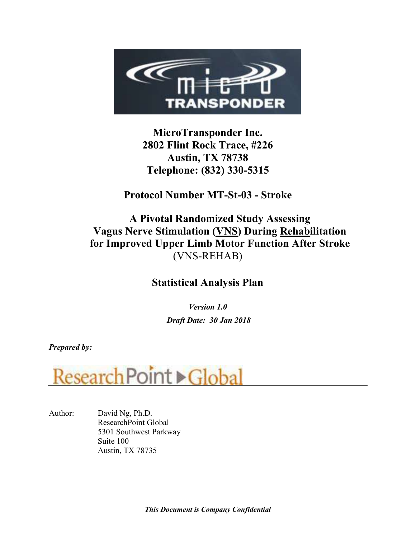

MicroTransponder Inc. 2802 Flint Rock Trace, #226 Austin, TX 78738 Telephone: (832) 330-5315

Protocol Number MT-St-03 - Stroke

# A Pivotal Randomized Study Assessing Vagus Nerve Stimulation (VNS) During Rehabilitation for Improved Upper Limb Motor Function After Stroke (VNS-REHAB)

# Statistical Analysis Plan

Version 1.0 Draft Date: 30 Jan 2018

Prepared by:



Author: David Ng, Ph.D. ResearchPoint Global 5301 Southwest Parkway Suite 100 Austin, TX 78735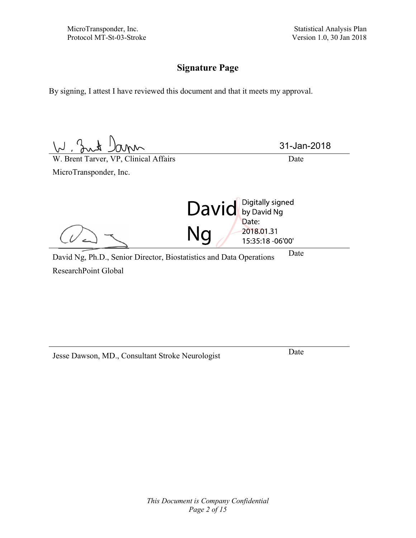MicroTransponder, Inc.<br>
Protocol MT-St-03-Stroke<br>
Statistical Analysis Plan<br>
Version 1.0, 30 Jan 2018

## Signature Page

By signing, I attest I have reviewed this document and that it meets my approval.

 $\frac{1}{2}$   $\frac{1}{2}$   $\frac{1}{2}$   $\frac{1}{2}$   $\frac{1}{2}$   $\frac{1}{2}$   $\frac{1}{2}$   $\frac{1}{2}$   $\frac{1}{2}$   $\frac{1}{2}$   $\frac{1}{2}$   $\frac{1}{2}$   $\frac{1}{2}$   $\frac{1}{2}$   $\frac{1}{2}$   $\frac{1}{2}$   $\frac{1}{2}$   $\frac{1}{2}$   $\frac{1}{2}$   $\frac{1}{2}$   $\frac{1}{2}$   $\frac{1}{2}$  31-Jan-2018MicroTransponder, Inc. David by David Ng Ng Date: 2018.01.31 15:35:18 -06'00' David Ng, Ph.D., Senior Director, Biostatistics and Data Operations Date

ResearchPoint Global

Jesse Dawson, MD., Consultant Stroke Neurologist Date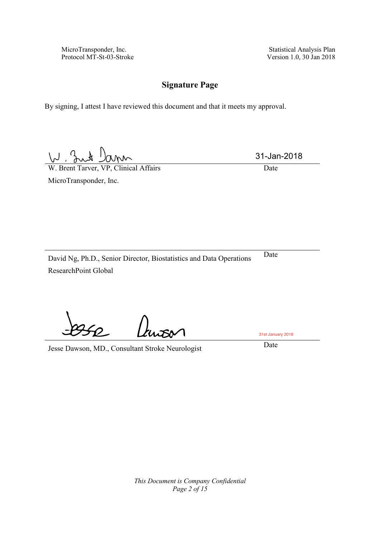Version 1.0, 30 Jan 2018

## **Signature Page**

By signing, I attest I have reviewed this document and that it meets my approval.

 $M, 3$ amn

W. Brent Tarver, VP, Clinical Affairs Date

MicroTransponder, Inc.

31-Jan-2018

David Ng, Ph.D., Senior Director, Biostatistics and Data Operations Date ResearchPoint Global

Jesse Dawson, MD., Consultant Stroke Neurologist Date

31st January 2018

*This Document is Company Confidential Page 2 of 15*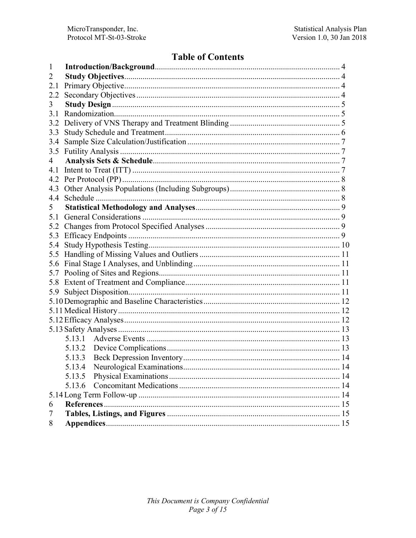## **Table of Contents**

| 1              |        |  |  |  |  |  |
|----------------|--------|--|--|--|--|--|
| 2              |        |  |  |  |  |  |
| 2.1            |        |  |  |  |  |  |
| 2.2            |        |  |  |  |  |  |
| 3              |        |  |  |  |  |  |
| 3.1            |        |  |  |  |  |  |
| 3.2            |        |  |  |  |  |  |
| 3.3            |        |  |  |  |  |  |
| 3.4            |        |  |  |  |  |  |
| 3.5            |        |  |  |  |  |  |
| 4              |        |  |  |  |  |  |
| 4.1            |        |  |  |  |  |  |
| 4.2            |        |  |  |  |  |  |
| 4.3            |        |  |  |  |  |  |
| 4.4            |        |  |  |  |  |  |
| 5 <sup>1</sup> |        |  |  |  |  |  |
| 5.1            |        |  |  |  |  |  |
| 5.2            |        |  |  |  |  |  |
| 5.3            |        |  |  |  |  |  |
| 5.4            |        |  |  |  |  |  |
| 5.5            |        |  |  |  |  |  |
| 5.6            |        |  |  |  |  |  |
| 5.7            |        |  |  |  |  |  |
| 5.8            |        |  |  |  |  |  |
| 5.9            |        |  |  |  |  |  |
|                |        |  |  |  |  |  |
|                |        |  |  |  |  |  |
|                |        |  |  |  |  |  |
|                |        |  |  |  |  |  |
|                |        |  |  |  |  |  |
|                | 5.13.2 |  |  |  |  |  |
|                | 5.13.3 |  |  |  |  |  |
|                |        |  |  |  |  |  |
|                | 5.13.5 |  |  |  |  |  |
|                | 5.13.6 |  |  |  |  |  |
|                |        |  |  |  |  |  |
| 6              |        |  |  |  |  |  |
| 7              |        |  |  |  |  |  |
| 8              |        |  |  |  |  |  |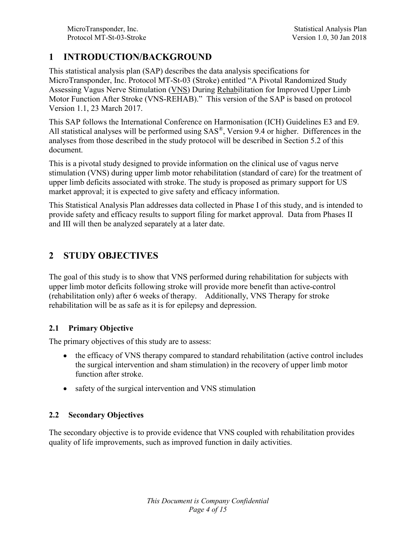## 1 INTRODUCTION/BACKGROUND

This statistical analysis plan (SAP) describes the data analysis specifications for MicroTransponder, Inc. Protocol MT-St-03 (Stroke) entitled "A Pivotal Randomized Study Assessing Vagus Nerve Stimulation (VNS) During Rehabilitation for Improved Upper Limb Motor Function After Stroke (VNS-REHAB)." This version of the SAP is based on protocol Version 1.1, 23 March 2017.

This SAP follows the International Conference on Harmonisation (ICH) Guidelines E3 and E9. All statistical analyses will be performed using SAS®, Version 9.4 or higher. Differences in the analyses from those described in the study protocol will be described in Section 5.2 of this document.

This is a pivotal study designed to provide information on the clinical use of vagus nerve stimulation (VNS) during upper limb motor rehabilitation (standard of care) for the treatment of upper limb deficits associated with stroke. The study is proposed as primary support for US market approval; it is expected to give safety and efficacy information.

This Statistical Analysis Plan addresses data collected in Phase I of this study, and is intended to provide safety and efficacy results to support filing for market approval. Data from Phases II and III will then be analyzed separately at a later date.

## 2 STUDY OBJECTIVES

The goal of this study is to show that VNS performed during rehabilitation for subjects with upper limb motor deficits following stroke will provide more benefit than active-control (rehabilitation only) after 6 weeks of therapy. Additionally, VNS Therapy for stroke rehabilitation will be as safe as it is for epilepsy and depression.

#### 2.1 Primary Objective

The primary objectives of this study are to assess:

- the efficacy of VNS therapy compared to standard rehabilitation (active control includes  $\bullet$ the surgical intervention and sham stimulation) in the recovery of upper limb motor function after stroke.
- safety of the surgical intervention and VNS stimulation

#### 2.2 Secondary Objectives

The secondary objective is to provide evidence that VNS coupled with rehabilitation provides quality of life improvements, such as improved function in daily activities.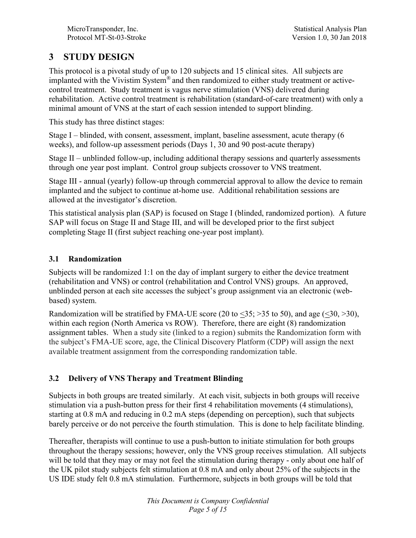## 3 STUDY DESIGN

This protocol is a pivotal study of up to 120 subjects and 15 clinical sites. All subjects are implanted with the Vivistim System® and then randomized to either study treatment or activecontrol treatment. Study treatment is vagus nerve stimulation (VNS) delivered during rehabilitation. Active control treatment is rehabilitation (standard-of-care treatment) with only a minimal amount of VNS at the start of each session intended to support blinding.

This study has three distinct stages:

Stage I – blinded, with consent, assessment, implant, baseline assessment, acute therapy (6 weeks), and follow-up assessment periods (Days 1, 30 and 90 post-acute therapy)

Stage II – unblinded follow-up, including additional therapy sessions and quarterly assessments through one year post implant. Control group subjects crossover to VNS treatment.

Stage III - annual (yearly) follow-up through commercial approval to allow the device to remain implanted and the subject to continue at-home use. Additional rehabilitation sessions are allowed at the investigator's discretion.

This statistical analysis plan (SAP) is focused on Stage I (blinded, randomized portion). A future SAP will focus on Stage II and Stage III, and will be developed prior to the first subject completing Stage II (first subject reaching one-year post implant).

### 3.1 Randomization

Subjects will be randomized 1:1 on the day of implant surgery to either the device treatment (rehabilitation and VNS) or control (rehabilitation and Control VNS) groups. An approved, unblinded person at each site accesses the subject's group assignment via an electronic (webbased) system.

Randomization will be stratified by FMA-UE score (20 to  $\leq$ 35; >35 to 50), and age ( $\leq$ 30, >30), within each region (North America vs ROW). Therefore, there are eight (8) randomization assignment tables. When a study site (linked to a region) submits the Randomization form with the subject's FMA-UE score, age, the Clinical Discovery Platform (CDP) will assign the next available treatment assignment from the corresponding randomization table.

## 3.2 Delivery of VNS Therapy and Treatment Blinding

Subjects in both groups are treated similarly. At each visit, subjects in both groups will receive stimulation via a push-button press for their first 4 rehabilitation movements (4 stimulations), starting at 0.8 mA and reducing in 0.2 mA steps (depending on perception), such that subjects barely perceive or do not perceive the fourth stimulation. This is done to help facilitate blinding.

Thereafter, therapists will continue to use a push-button to initiate stimulation for both groups throughout the therapy sessions; however, only the VNS group receives stimulation. All subjects will be told that they may or may not feel the stimulation during therapy - only about one half of the UK pilot study subjects felt stimulation at 0.8 mA and only about 25% of the subjects in the US IDE study felt 0.8 mA stimulation. Furthermore, subjects in both groups will be told that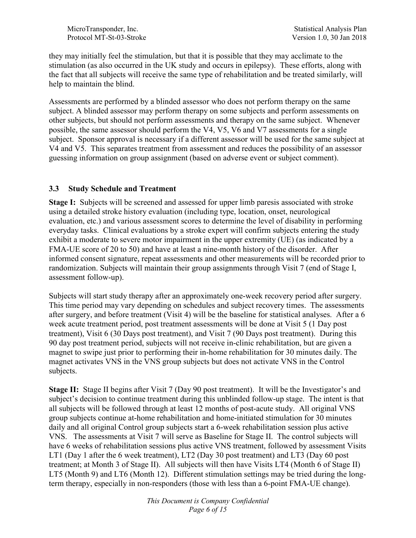MicroTransponder, Inc. Statistical Analysis Plan Protocol MT-St-03-Stroke Version 1.0, 30 Jan 2018

they may initially feel the stimulation, but that it is possible that they may acclimate to the stimulation (as also occurred in the UK study and occurs in epilepsy). These efforts, along with the fact that all subjects will receive the same type of rehabilitation and be treated similarly, will help to maintain the blind.

Assessments are performed by a blinded assessor who does not perform therapy on the same subject. A blinded assessor may perform therapy on some subjects and perform assessments on other subjects, but should not perform assessments and therapy on the same subject. Whenever possible, the same assessor should perform the V4, V5, V6 and V7 assessments for a single subject. Sponsor approval is necessary if a different assessor will be used for the same subject at V4 and V5. This separates treatment from assessment and reduces the possibility of an assessor guessing information on group assignment (based on adverse event or subject comment).

#### 3.3 Study Schedule and Treatment

Stage I: Subjects will be screened and assessed for upper limb paresis associated with stroke using a detailed stroke history evaluation (including type, location, onset, neurological evaluation, etc.) and various assessment scores to determine the level of disability in performing everyday tasks. Clinical evaluations by a stroke expert will confirm subjects entering the study exhibit a moderate to severe motor impairment in the upper extremity (UE) (as indicated by a FMA-UE score of 20 to 50) and have at least a nine-month history of the disorder. After informed consent signature, repeat assessments and other measurements will be recorded prior to randomization. Subjects will maintain their group assignments through Visit 7 (end of Stage I, assessment follow-up).

Subjects will start study therapy after an approximately one-week recovery period after surgery. This time period may vary depending on schedules and subject recovery times. The assessments after surgery, and before treatment (Visit 4) will be the baseline for statistical analyses. After a 6 week acute treatment period, post treatment assessments will be done at Visit 5 (1 Day post treatment), Visit 6 (30 Days post treatment), and Visit 7 (90 Days post treatment). During this 90 day post treatment period, subjects will not receive in-clinic rehabilitation, but are given a magnet to swipe just prior to performing their in-home rehabilitation for 30 minutes daily. The magnet activates VNS in the VNS group subjects but does not activate VNS in the Control subjects.

Stage II: Stage II begins after Visit 7 (Day 90 post treatment). It will be the Investigator's and subject's decision to continue treatment during this unblinded follow-up stage. The intent is that all subjects will be followed through at least 12 months of post-acute study. All original VNS group subjects continue at-home rehabilitation and home-initiated stimulation for 30 minutes daily and all original Control group subjects start a 6-week rehabilitation session plus active VNS. The assessments at Visit 7 will serve as Baseline for Stage II. The control subjects will have 6 weeks of rehabilitation sessions plus active VNS treatment, followed by assessment Visits LT1 (Day 1 after the 6 week treatment), LT2 (Day 30 post treatment) and LT3 (Day 60 post treatment; at Month 3 of Stage II). All subjects will then have Visits LT4 (Month 6 of Stage II) LT5 (Month 9) and LT6 (Month 12). Different stimulation settings may be tried during the longterm therapy, especially in non-responders (those with less than a 6-point FMA-UE change).

> This Document is Company Confidential Page 6 of 15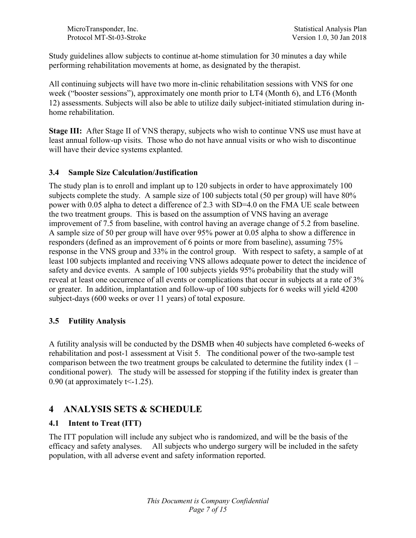MicroTransponder, Inc. Statistical Analysis Plan Protocol MT-St-03-Stroke Version 1.0, 30 Jan 2018

Study guidelines allow subjects to continue at-home stimulation for 30 minutes a day while performing rehabilitation movements at home, as designated by the therapist.

All continuing subjects will have two more in-clinic rehabilitation sessions with VNS for one week ("booster sessions"), approximately one month prior to LT4 (Month 6), and LT6 (Month 12) assessments. Subjects will also be able to utilize daily subject-initiated stimulation during inhome rehabilitation.

Stage III: After Stage II of VNS therapy, subjects who wish to continue VNS use must have at least annual follow-up visits. Those who do not have annual visits or who wish to discontinue will have their device systems explanted.

#### 3.4 Sample Size Calculation/Justification

The study plan is to enroll and implant up to 120 subjects in order to have approximately 100 subjects complete the study. A sample size of 100 subjects total (50 per group) will have 80% power with 0.05 alpha to detect a difference of 2.3 with SD=4.0 on the FMA UE scale between the two treatment groups. This is based on the assumption of VNS having an average improvement of 7.5 from baseline, with control having an average change of 5.2 from baseline. A sample size of 50 per group will have over 95% power at 0.05 alpha to show a difference in responders (defined as an improvement of 6 points or more from baseline), assuming 75% response in the VNS group and 33% in the control group. With respect to safety, a sample of at least 100 subjects implanted and receiving VNS allows adequate power to detect the incidence of safety and device events. A sample of 100 subjects yields 95% probability that the study will reveal at least one occurrence of all events or complications that occur in subjects at a rate of 3% or greater. In addition, implantation and follow-up of 100 subjects for 6 weeks will yield 4200 subject-days (600 weeks or over 11 years) of total exposure.

#### 3.5 Futility Analysis

A futility analysis will be conducted by the DSMB when 40 subjects have completed 6-weeks of rehabilitation and post-1 assessment at Visit 5. The conditional power of the two-sample test comparison between the two treatment groups be calculated to determine the futility index  $(1$ conditional power). The study will be assessed for stopping if the futility index is greater than 0.90 (at approximately  $t < -1.25$ ).

## 4 ANALYSIS SETS & SCHEDULE

#### 4.1 Intent to Treat (ITT)

The ITT population will include any subject who is randomized, and will be the basis of the efficacy and safety analyses. All subjects who undergo surgery will be included in the safety population, with all adverse event and safety information reported.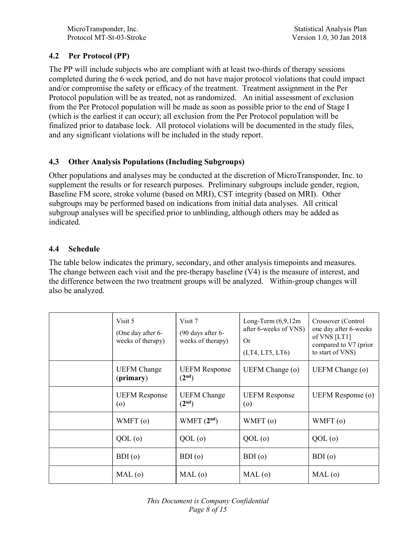### 4.2 Per Protocol (PP)

The PP will include subjects who are compliant with at least two-thirds of therapy sessions completed during the 6 week period, and do not have major protocol violations that could impact and/or compromise the safety or efficacy of the treatment. Treatment assignment in the Per Protocol population will be as treated, not as randomized. An initial assessment of exclusion from the Per Protocol population will be made as soon as possible prior to the end of Stage I (which is the earliest it can occur); all exclusion from the Per Protocol population will be finalized prior to database lock. All protocol violations will be documented in the study files, and any significant violations will be included in the study report.

### 4.3 Other Analysis Populations (Including Subgroups)

Other populations and analyses may be conducted at the discretion of MicroTransponder, Inc. to supplement the results or for research purposes. Preliminary subgroups include gender, region, Baseline FM score, stroke volume (based on MRI), CST integrity (based on MRI). Other subgroups may be performed based on indications from initial data analyses. All critical subgroup analyses will be specified prior to unblinding, although others may be added as indicated.

#### 4.4 Schedule

The table below indicates the primary, secondary, and other analysis timepoints and measures. The change between each visit and the pre-therapy baseline (V4) is the measure of interest, and the difference between the two treatment groups will be analyzed. Within-group changes will also be analyzed.

| Visit 5<br>(One day after 6-<br>weeks of therapy) | Visit 7<br>$(90 \text{ days after } 6$ -<br>weeks of therapy) | Long-Term $(6,9,12m)$<br>after 6-weeks of VNS)<br><b>Or</b><br>(LT4, LT5, LT6) | Crossover (Control<br>one day after 6-weeks<br>of VNS [LT1]<br>compared to V7 (prior<br>to start of VNS) |
|---------------------------------------------------|---------------------------------------------------------------|--------------------------------------------------------------------------------|----------------------------------------------------------------------------------------------------------|
| <b>UEFM</b> Change<br>(primary)                   | <b>UEFM Response</b><br>(2 <sup>nd</sup> )                    | UEFM Change (o)                                                                | UEFM Change (o)                                                                                          |
| <b>UEFM Response</b><br>$\circ$                   | <b>UEFM</b> Change<br>(2 <sup>nd</sup> )                      | <b>UEFM Response</b><br>$\circ$                                                | <b>UEFM</b> Response (o)                                                                                 |
| WMFT (o)                                          | WMFT $(2^{nd})$                                               | WMFT (o)                                                                       | WMFT (o)                                                                                                 |
| $QOL$ (o)                                         | $QOL$ $(o)$                                                   | $QOL$ $(o)$                                                                    | $QOL$ (o)                                                                                                |
| BDI(0)                                            | BDI(0)                                                        | BDI(0)                                                                         | BDI(0)                                                                                                   |
| MAL(0)                                            | MAL(0)                                                        | MAL(0)                                                                         | MAL(0)                                                                                                   |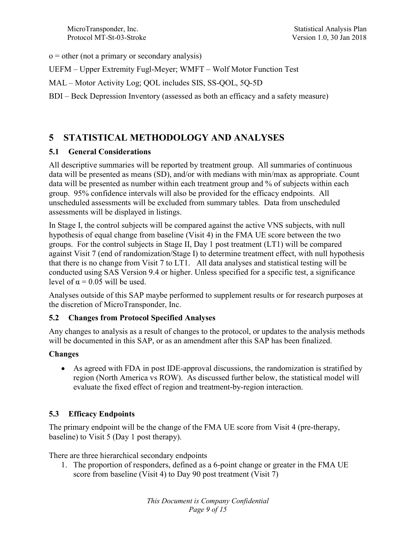$o = other (not a primary or secondary analysis)$ 

- UEFM Upper Extremity Fugl-Meyer; WMFT Wolf Motor Function Test
- MAL Motor Activity Log; QOL includes SIS, SS-QOL, 5Q-5D
- BDI Beck Depression Inventory (assessed as both an efficacy and a safety measure)

## 5 STATISTICAL METHODOLOGY AND ANALYSES

### 5.1 General Considerations

All descriptive summaries will be reported by treatment group. All summaries of continuous data will be presented as means (SD), and/or with medians with min/max as appropriate. Count data will be presented as number within each treatment group and % of subjects within each group. 95% confidence intervals will also be provided for the efficacy endpoints. All unscheduled assessments will be excluded from summary tables. Data from unscheduled assessments will be displayed in listings.

In Stage I, the control subjects will be compared against the active VNS subjects, with null hypothesis of equal change from baseline (Visit 4) in the FMA UE score between the two groups. For the control subjects in Stage II, Day 1 post treatment (LT1) will be compared against Visit 7 (end of randomization/Stage I) to determine treatment effect, with null hypothesis that there is no change from Visit 7 to LT1. All data analyses and statistical testing will be conducted using SAS Version 9.4 or higher. Unless specified for a specific test, a significance level of  $\alpha$  = 0.05 will be used.

Analyses outside of this SAP maybe performed to supplement results or for research purposes at the discretion of MicroTransponder, Inc.

#### 5.2 Changes from Protocol Specified Analyses

Any changes to analysis as a result of changes to the protocol, or updates to the analysis methods will be documented in this SAP, or as an amendment after this SAP has been finalized.

## Changes

As agreed with FDA in post IDE-approval discussions, the randomization is stratified by region (North America vs ROW). As discussed further below, the statistical model will evaluate the fixed effect of region and treatment-by-region interaction.

## 5.3 Efficacy Endpoints

The primary endpoint will be the change of the FMA UE score from Visit 4 (pre-therapy, baseline) to Visit 5 (Day 1 post therapy).

There are three hierarchical secondary endpoints

1. The proportion of responders, defined as a 6-point change or greater in the FMA UE score from baseline (Visit 4) to Day 90 post treatment (Visit 7)

> This Document is Company Confidential Page 9 of 15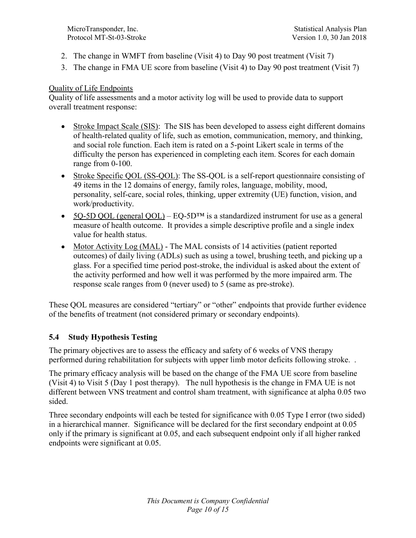- 2. The change in WMFT from baseline (Visit 4) to Day 90 post treatment (Visit 7)
- 3. The change in FMA UE score from baseline (Visit 4) to Day 90 post treatment (Visit 7)

#### Quality of Life Endpoints

Quality of life assessments and a motor activity log will be used to provide data to support overall treatment response:

- Stroke Impact Scale (SIS): The SIS has been developed to assess eight different domains of health-related quality of life, such as emotion, communication, memory, and thinking, and social role function. Each item is rated on a 5-point Likert scale in terms of the difficulty the person has experienced in completing each item. Scores for each domain range from 0-100.
- Stroke Specific QOL (SS-QOL): The SS-QOL is a self-report questionnaire consisting of 49 items in the 12 domains of energy, family roles, language, mobility, mood, personality, self-care, social roles, thinking, upper extremity (UE) function, vision, and work/productivity.
- 5Q-5D QOL (general QOL) EQ-5D<sup>TM</sup> is a standardized instrument for use as a general measure of health outcome. It provides a simple descriptive profile and a single index value for health status.
- Motor Activity Log (MAL) The MAL consists of 14 activities (patient reported outcomes) of daily living (ADLs) such as using a towel, brushing teeth, and picking up a glass. For a specified time period post-stroke, the individual is asked about the extent of the activity performed and how well it was performed by the more impaired arm. The response scale ranges from 0 (never used) to 5 (same as pre-stroke).

These QOL measures are considered "tertiary" or "other" endpoints that provide further evidence of the benefits of treatment (not considered primary or secondary endpoints).

#### 5.4 Study Hypothesis Testing

The primary objectives are to assess the efficacy and safety of 6 weeks of VNS therapy performed during rehabilitation for subjects with upper limb motor deficits following stroke. .

The primary efficacy analysis will be based on the change of the FMA UE score from baseline (Visit 4) to Visit 5 (Day 1 post therapy). The null hypothesis is the change in FMA UE is not different between VNS treatment and control sham treatment, with significance at alpha 0.05 two sided.

Three secondary endpoints will each be tested for significance with 0.05 Type I error (two sided) in a hierarchical manner. Significance will be declared for the first secondary endpoint at 0.05 only if the primary is significant at 0.05, and each subsequent endpoint only if all higher ranked endpoints were significant at 0.05.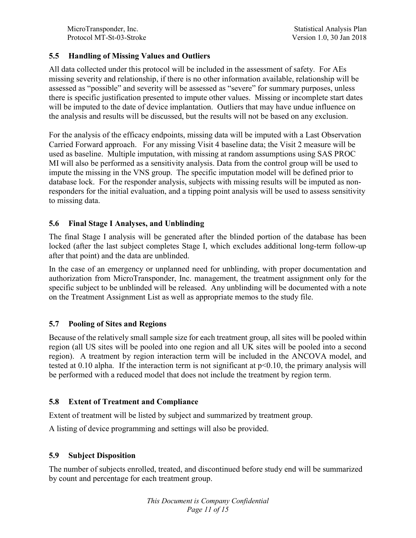MicroTransponder, Inc. Statistical Analysis Plan Protocol MT-St-03-Stroke Version 1.0, 30 Jan 2018

#### 5.5 Handling of Missing Values and Outliers

All data collected under this protocol will be included in the assessment of safety. For AEs missing severity and relationship, if there is no other information available, relationship will be assessed as "possible" and severity will be assessed as "severe" for summary purposes, unless there is specific justification presented to impute other values. Missing or incomplete start dates will be imputed to the date of device implantation. Outliers that may have undue influence on the analysis and results will be discussed, but the results will not be based on any exclusion.

For the analysis of the efficacy endpoints, missing data will be imputed with a Last Observation Carried Forward approach. For any missing Visit 4 baseline data; the Visit 2 measure will be used as baseline. Multiple imputation, with missing at random assumptions using SAS PROC MI will also be performed as a sensitivity analysis. Data from the control group will be used to impute the missing in the VNS group. The specific imputation model will be defined prior to database lock. For the responder analysis, subjects with missing results will be imputed as nonresponders for the initial evaluation, and a tipping point analysis will be used to assess sensitivity to missing data.

#### 5.6 Final Stage I Analyses, and Unblinding

The final Stage I analysis will be generated after the blinded portion of the database has been locked (after the last subject completes Stage I, which excludes additional long-term follow-up after that point) and the data are unblinded.

In the case of an emergency or unplanned need for unblinding, with proper documentation and authorization from MicroTransponder, Inc. management, the treatment assignment only for the specific subject to be unblinded will be released. Any unblinding will be documented with a note on the Treatment Assignment List as well as appropriate memos to the study file.

#### 5.7 Pooling of Sites and Regions

Because of the relatively small sample size for each treatment group, all sites will be pooled within region (all US sites will be pooled into one region and all UK sites will be pooled into a second region). A treatment by region interaction term will be included in the ANCOVA model, and tested at 0.10 alpha. If the interaction term is not significant at p<0.10, the primary analysis will be performed with a reduced model that does not include the treatment by region term.

#### 5.8 Extent of Treatment and Compliance

Extent of treatment will be listed by subject and summarized by treatment group.

A listing of device programming and settings will also be provided.

#### 5.9 Subject Disposition

The number of subjects enrolled, treated, and discontinued before study end will be summarized by count and percentage for each treatment group.

> This Document is Company Confidential Page 11 of 15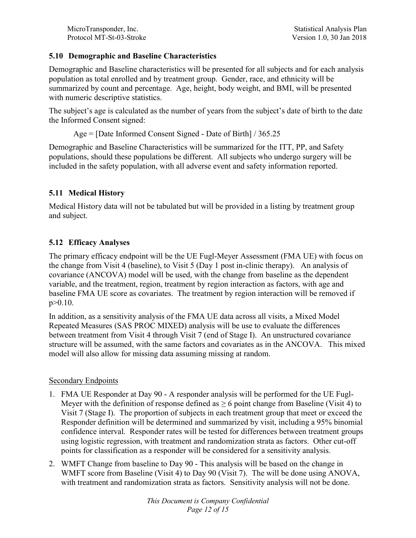MicroTransponder, Inc.<br>
Protocol MT-St-03-Stroke<br>
Statistical Analysis Plan<br>
Version 1.0, 30 Jan 2018

#### 5.10 Demographic and Baseline Characteristics

Demographic and Baseline characteristics will be presented for all subjects and for each analysis population as total enrolled and by treatment group. Gender, race, and ethnicity will be summarized by count and percentage. Age, height, body weight, and BMI, will be presented with numeric descriptive statistics.

The subject's age is calculated as the number of years from the subject's date of birth to the date the Informed Consent signed:

```
Age = [Date Informed Consent Signed - Date of Birth] / 365.25
```
Demographic and Baseline Characteristics will be summarized for the ITT, PP, and Safety populations, should these populations be different. All subjects who undergo surgery will be included in the safety population, with all adverse event and safety information reported.

## 5.11 Medical History

Medical History data will not be tabulated but will be provided in a listing by treatment group and subject.

## 5.12 Efficacy Analyses

The primary efficacy endpoint will be the UE Fugl-Meyer Assessment (FMA UE) with focus on the change from Visit 4 (baseline), to Visit 5 (Day 1 post in-clinic therapy). An analysis of covariance (ANCOVA) model will be used, with the change from baseline as the dependent variable, and the treatment, region, treatment by region interaction as factors, with age and baseline FMA UE score as covariates. The treatment by region interaction will be removed if p>0.10.

In addition, as a sensitivity analysis of the FMA UE data across all visits, a Mixed Model Repeated Measures (SAS PROC MIXED) analysis will be use to evaluate the differences between treatment from Visit 4 through Visit 7 (end of Stage I). An unstructured covariance structure will be assumed, with the same factors and covariates as in the ANCOVA. This mixed model will also allow for missing data assuming missing at random.

## Secondary Endpoints

- 1. FMA UE Responder at Day 90 A responder analysis will be performed for the UE Fugl-Meyer with the definition of response defined as  $\geq 6$  point change from Baseline (Visit 4) to Visit 7 (Stage I). The proportion of subjects in each treatment group that meet or exceed the Responder definition will be determined and summarized by visit, including a 95% binomial confidence interval. Responder rates will be tested for differences between treatment groups using logistic regression, with treatment and randomization strata as factors. Other cut-off points for classification as a responder will be considered for a sensitivity analysis.
- 2. WMFT Change from baseline to Day 90 This analysis will be based on the change in WMFT score from Baseline (Visit 4) to Day 90 (Visit 7). The will be done using ANOVA, with treatment and randomization strata as factors. Sensitivity analysis will not be done.

This Document is Company Confidential Page 12 of 15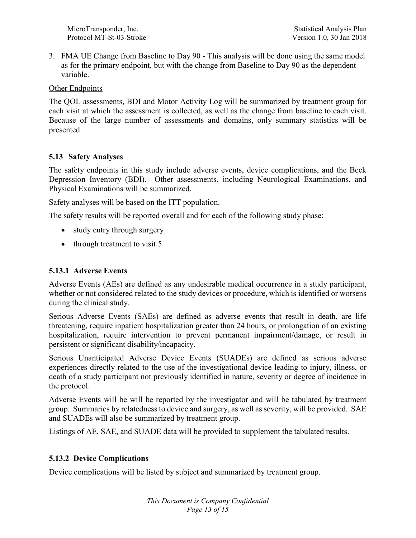3. FMA UE Change from Baseline to Day 90 - This analysis will be done using the same model as for the primary endpoint, but with the change from Baseline to Day 90 as the dependent variable.

Other Endpoints

The QOL assessments, BDI and Motor Activity Log will be summarized by treatment group for each visit at which the assessment is collected, as well as the change from baseline to each visit. Because of the large number of assessments and domains, only summary statistics will be presented.

### 5.13 Safety Analyses

The safety endpoints in this study include adverse events, device complications, and the Beck Depression Inventory (BDI). Other assessments, including Neurological Examinations, and Physical Examinations will be summarized.

Safety analyses will be based on the ITT population.

The safety results will be reported overall and for each of the following study phase:

- study entry through surgery
- $\bullet$  through treatment to visit 5

#### 5.13.1 Adverse Events

Adverse Events (AEs) are defined as any undesirable medical occurrence in a study participant, whether or not considered related to the study devices or procedure, which is identified or worsens during the clinical study.

Serious Adverse Events (SAEs) are defined as adverse events that result in death, are life threatening, require inpatient hospitalization greater than 24 hours, or prolongation of an existing hospitalization, require intervention to prevent permanent impairment/damage, or result in persistent or significant disability/incapacity.

Serious Unanticipated Adverse Device Events (SUADEs) are defined as serious adverse experiences directly related to the use of the investigational device leading to injury, illness, or death of a study participant not previously identified in nature, severity or degree of incidence in the protocol.

Adverse Events will be will be reported by the investigator and will be tabulated by treatment group. Summaries by relatedness to device and surgery, as well as severity, will be provided. SAE and SUADEs will also be summarized by treatment group.

Listings of AE, SAE, and SUADE data will be provided to supplement the tabulated results.

#### 5.13.2 Device Complications

Device complications will be listed by subject and summarized by treatment group.

This Document is Company Confidential Page 13 of 15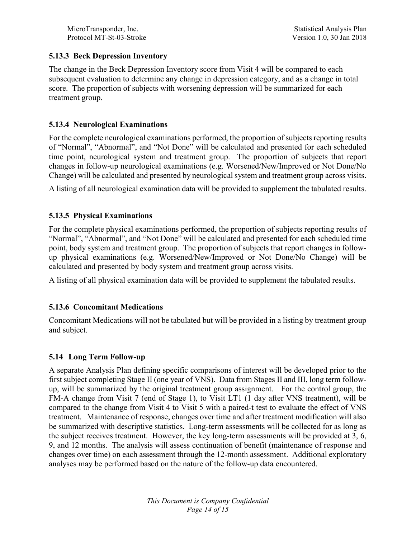#### 5.13.3 Beck Depression Inventory

The change in the Beck Depression Inventory score from Visit 4 will be compared to each subsequent evaluation to determine any change in depression category, and as a change in total score. The proportion of subjects with worsening depression will be summarized for each treatment group.

#### 5.13.4 Neurological Examinations

For the complete neurological examinations performed, the proportion of subjects reporting results of "Normal", "Abnormal", and "Not Done" will be calculated and presented for each scheduled time point, neurological system and treatment group. The proportion of subjects that report changes in follow-up neurological examinations (e.g. Worsened/New/Improved or Not Done/No Change) will be calculated and presented by neurological system and treatment group across visits.

A listing of all neurological examination data will be provided to supplement the tabulated results.

#### 5.13.5 Physical Examinations

For the complete physical examinations performed, the proportion of subjects reporting results of "Normal", "Abnormal", and "Not Done" will be calculated and presented for each scheduled time point, body system and treatment group. The proportion of subjects that report changes in followup physical examinations (e.g. Worsened/New/Improved or Not Done/No Change) will be calculated and presented by body system and treatment group across visits.

A listing of all physical examination data will be provided to supplement the tabulated results.

#### 5.13.6 Concomitant Medications

Concomitant Medications will not be tabulated but will be provided in a listing by treatment group and subject.

#### 5.14 Long Term Follow-up

A separate Analysis Plan defining specific comparisons of interest will be developed prior to the first subject completing Stage II (one year of VNS). Data from Stages II and III, long term followup, will be summarized by the original treatment group assignment. For the control group, the FM-A change from Visit 7 (end of Stage 1), to Visit LT1 (1 day after VNS treatment), will be compared to the change from Visit 4 to Visit 5 with a paired-t test to evaluate the effect of VNS treatment. Maintenance of response, changes over time and after treatment modification will also be summarized with descriptive statistics. Long-term assessments will be collected for as long as the subject receives treatment. However, the key long-term assessments will be provided at 3, 6, 9, and 12 months. The analysis will assess continuation of benefit (maintenance of response and changes over time) on each assessment through the 12-month assessment. Additional exploratory analyses may be performed based on the nature of the follow-up data encountered.

> This Document is Company Confidential Page 14 of 15